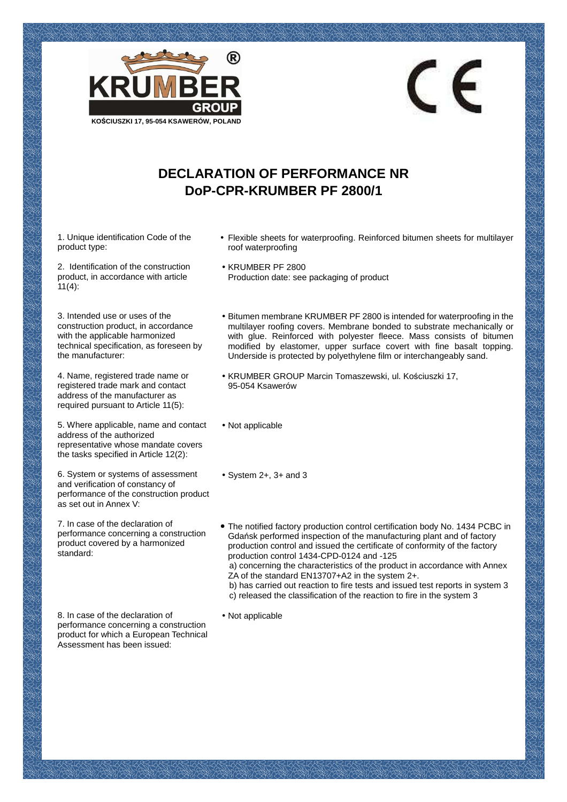

## **DECLARATION OF PERFORMANCE NR DoP-CPR-KRUMBER PF 2800/1**

1. Unique identification Code of the product type:

2. Identification of the construction product, in accordance with article  $11(4)$ :

3. Intended use or uses of the construction product, in accordance with the applicable harmonized technical specification, as foreseen by the manufacturer:

4. Name, registered trade name or registered trade mark and contact address of the manufacturer as required pursuant to Article 11(5):

5. Where applicable, name and contact address of the authorized representative whose mandate covers the tasks specified in Article 12(2):

6. System or systems of assessment and verification of constancy of performance of the construction product as set out in Annex V:

7. In case of the declaration of performance concerning a construction product covered by a harmonized standard:

8. In case of the declaration of performance concerning a construction product for which a European Technical Assessment has been issued:

• Flexible sheets for waterproofing. Reinforced bitumen sheets for multilayer roof waterproofing

CE

- KRUMBER PF 2800 Production date: see packaging of product
- Bitumen membrane KRUMBER PF 2800 is intended for waterproofing in the multilayer roofing covers. Membrane bonded to substrate mechanically or with glue. Reinforced with polyester fleece. Mass consists of bitumen modified by elastomer, upper surface covert with fine basalt topping. Underside is protected by polyethylene film or interchangeably sand.
- KRUMBER GROUP Marcin Tomaszewski, ul. Kościuszki 17, 95-054 Ksawerów
- Not applicable
- System 2+, 3+ and 3
- **•** The notified factory production control certification body No. 1434 PCBC in Gdańsk performed inspection of the manufacturing plant and of factory production control and issued the certificate of conformity of the factory production control 1434-CPD-0124 and -125 a) concerning the characteristics of the product in accordance with Annex ZA of the standard EN13707+A2 in the system 2+. b) has carried out reaction to fire tests and issued test reports in system 3 c) released the classification of the reaction to fire in the system 3
- Not applicable